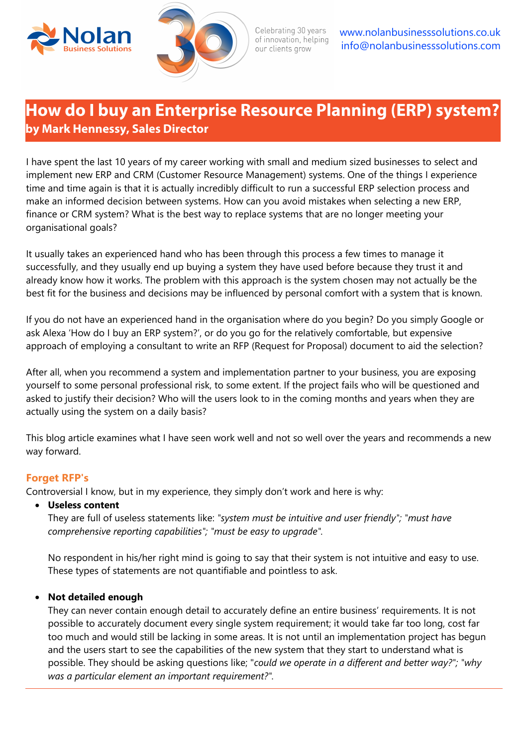



Celebrating 30 years of innovation, helping our clients grow

www.nolanbusinesssolutions.co.uk info@nolanbusinesssolutions.com

# **How do I buy an Enterprise Resource Planning (ERP) system? by Mark Hennessy, Sales Director**

I have spent the last 10 years of my career working with small and medium sized businesses to select and implement new ERP and CRM (Customer Resource Management) systems. One of the things I experience time and time again is that it is actually incredibly difficult to run a successful ERP selection process and make an informed decision between systems. How can you avoid mistakes when selecting a new ERP, finance or CRM system? What is the best way to replace systems that are no longer meeting your organisational goals?

It usually takes an experienced hand who has been through this process a few times to manage it successfully, and they usually end up buying a system they have used before because they trust it and already know how it works. The problem with this approach is the system chosen may not actually be the best fit for the business and decisions may be influenced by personal comfort with a system that is known.

If you do not have an experienced hand in the organisation where do you begin? Do you simply Google or ask Alexa 'How do I buy an ERP system?', or do you go for the relatively comfortable, but expensive approach of employing a consultant to write an RFP (Request for Proposal) document to aid the selection?

After all, when you recommend a system and implementation partner to your business, you are exposing yourself to some personal professional risk, to some extent. If the project fails who will be questioned and asked to justify their decision? Who will the users look to in the coming months and years when they are actually using the system on a daily basis?

This blog article examines what I have seen work well and not so well over the years and recommends a new way forward.

# **Forget RFP's**

Controversial I know, but in my experience, they simply don't work and here is why:

# • **Useless content**

They are full of useless statements like: *"system must be intuitive and user friendly"; "must have comprehensive reporting capabilities"; "must be easy to upgrade".*

No respondent in his/her right mind is going to say that their system is not intuitive and easy to use. These types of statements are not quantifiable and pointless to ask.

# • **Not detailed enough**

They can never contain enough detail to accurately define an entire business' requirements. It is not possible to accurately document every single system requirement; it would take far too long, cost far too much and would still be lacking in some areas. It is not until an implementation project has begun and the users start to see the capabilities of the new system that they start to understand what is possible. They should be asking questions like; "*could we operate in a different and better way?"; "why was a particular element an important requirement?".*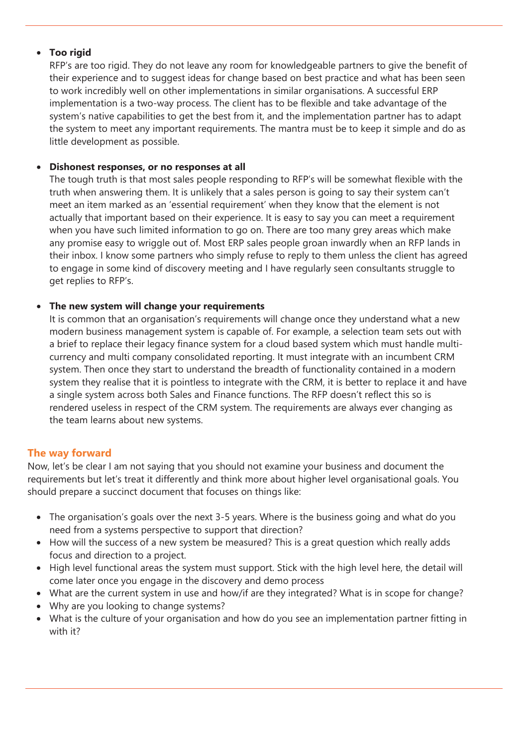# • **Too rigid**

RFP's are too rigid. They do not leave any room for knowledgeable partners to give the benefit of their experience and to suggest ideas for change based on best practice and what has been seen to work incredibly well on other implementations in similar organisations. A successful ERP implementation is a two-way process. The client has to be flexible and take advantage of the system's native capabilities to get the best from it, and the implementation partner has to adapt the system to meet any important requirements. The mantra must be to keep it simple and do as little development as possible.

## • **Dishonest responses, or no responses at all**

The tough truth is that most sales people responding to RFP's will be somewhat flexible with the truth when answering them. It is unlikely that a sales person is going to say their system can't meet an item marked as an 'essential requirement' when they know that the element is not actually that important based on their experience. It is easy to say you can meet a requirement when you have such limited information to go on. There are too many grey areas which make any promise easy to wriggle out of. Most ERP sales people groan inwardly when an RFP lands in their inbox. I know some partners who simply refuse to reply to them unless the client has agreed to engage in some kind of discovery meeting and I have regularly seen consultants struggle to get replies to RFP's.

## • **The new system will change your requirements**

It is common that an organisation's requirements will change once they understand what a new modern business management system is capable of. For example, a selection team sets out with a brief to replace their legacy finance system for a cloud based system which must handle multicurrency and multi company consolidated reporting. It must integrate with an incumbent CRM system. Then once they start to understand the breadth of functionality contained in a modern system they realise that it is pointless to integrate with the CRM, it is better to replace it and have a single system across both Sales and Finance functions. The RFP doesn't reflect this so is rendered useless in respect of the CRM system. The requirements are always ever changing as the team learns about new systems.

# **The way forward**

Now, let's be clear I am not saying that you should not examine your business and document the requirements but let's treat it differently and think more about higher level organisational goals. You should prepare a succinct document that focuses on things like:

- The organisation's goals over the next 3-5 years. Where is the business going and what do you need from a systems perspective to support that direction?
- How will the success of a new system be measured? This is a great question which really adds focus and direction to a project.
- High level functional areas the system must support. Stick with the high level here, the detail will come later once you engage in the discovery and demo process
- What are the current system in use and how/if are they integrated? What is in scope for change?
- Why are you looking to change systems?
- What is the culture of your organisation and how do you see an implementation partner fitting in with it?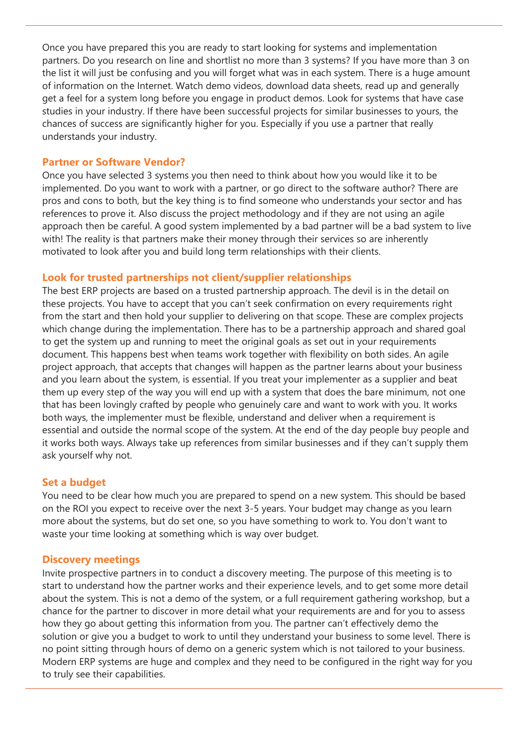Once you have prepared this you are ready to start looking for systems and implementation partners. Do you research on line and shortlist no more than 3 systems? If you have more than 3 on the list it will just be confusing and you will forget what was in each system. There is a huge amount of information on the Internet. Watch demo videos, download data sheets, read up and generally get a feel for a system long before you engage in product demos. Look for systems that have case studies in your industry. If there have been successful projects for similar businesses to yours, the chances of success are significantly higher for you. Especially if you use a partner that really understands your industry.

# **Partner or Software Vendor?**

Once you have selected 3 systems you then need to think about how you would like it to be implemented. Do you want to work with a partner, or go direct to the software author? There are pros and cons to both, but the key thing is to find someone who understands your sector and has references to prove it. Also discuss the project methodology and if they are not using an agile approach then be careful. A good system implemented by a bad partner will be a bad system to live with! The reality is that partners make their money through their services so are inherently motivated to look after you and build long term relationships with their clients.

# **Look for trusted partnerships not client/supplier relationships**

The best ERP projects are based on a trusted partnership approach. The devil is in the detail on these projects. You have to accept that you can't seek confirmation on every requirements right from the start and then hold your supplier to delivering on that scope. These are complex projects which change during the implementation. There has to be a partnership approach and shared goal to get the system up and running to meet the original goals as set out in your requirements document. This happens best when teams work together with flexibility on both sides. An agile project approach, that accepts that changes will happen as the partner learns about your business and you learn about the system, is essential. If you treat your implementer as a supplier and beat them up every step of the way you will end up with a system that does the bare minimum, not one that has been lovingly crafted by people who genuinely care and want to work with you. It works both ways, the implementer must be flexible, understand and deliver when a requirement is essential and outside the normal scope of the system. At the end of the day people buy people and it works both ways. Always take up references from similar businesses and if they can't supply them ask yourself why not.

# **Set a budget**

You need to be clear how much you are prepared to spend on a new system. This should be based on the ROI you expect to receive over the next 3-5 years. Your budget may change as you learn more about the systems, but do set one, so you have something to work to. You don't want to waste your time looking at something which is way over budget.

# **Discovery meetings**

Invite prospective partners in to conduct a discovery meeting. The purpose of this meeting is to start to understand how the partner works and their experience levels, and to get some more detail about the system. This is not a demo of the system, or a full requirement gathering workshop, but a chance for the partner to discover in more detail what your requirements are and for you to assess how they go about getting this information from you. The partner can't effectively demo the solution or give you a budget to work to until they understand your business to some level. There is no point sitting through hours of demo on a generic system which is not tailored to your business. Modern ERP systems are huge and complex and they need to be configured in the right way for you to truly see their capabilities.